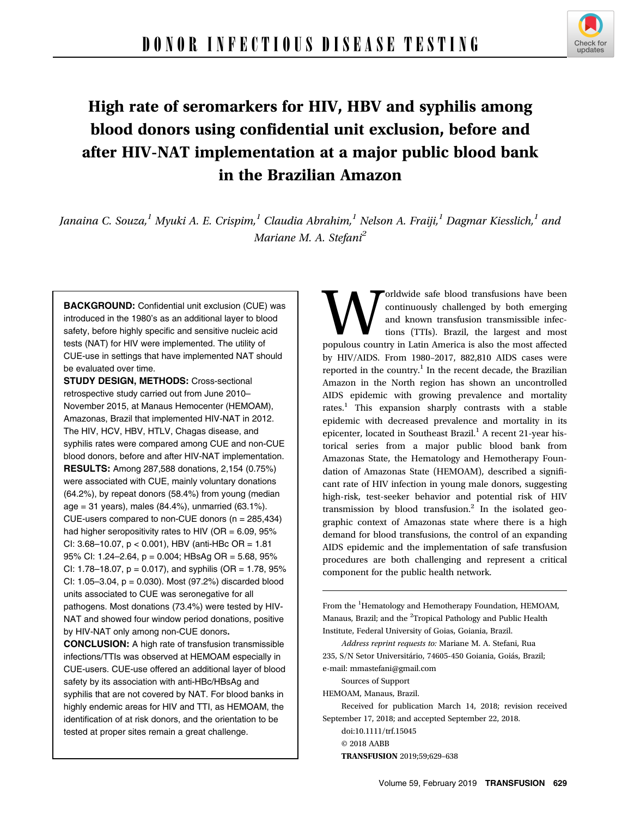

# High rate of seromarkers for HIV, HBV and syphilis among blood donors using confidential unit exclusion, before and after HIV-NAT implementation at a major public blood bank in the Brazilian Amazon

Janaina C. Souza,<sup>1</sup> Myuki A. E. Crispim,<sup>1</sup> Claudia Abrahim,<sup>1</sup> Nelson A. Fraiji,<sup>1</sup> Dagmar Kiesslich,<sup>1</sup> and Mariane M. A. Stefani<sup>2</sup>

BACKGROUND: Confidential unit exclusion (CUE) was introduced in the 1980's as an additional layer to blood safety, before highly specific and sensitive nucleic acid tests (NAT) for HIV were implemented. The utility of CUE-use in settings that have implemented NAT should be evaluated over time.

STUDY DESIGN, METHODS: Cross-sectional retrospective study carried out from June 2010– November 2015, at Manaus Hemocenter (HEMOAM), Amazonas, Brazil that implemented HIV-NAT in 2012. The HIV, HCV, HBV, HTLV, Chagas disease, and syphilis rates were compared among CUE and non-CUE blood donors, before and after HIV-NAT implementation. RESULTS: Among 287,588 donations, 2,154 (0.75%) were associated with CUE, mainly voluntary donations (64.2%), by repeat donors (58.4%) from young (median  $age = 31 \text{ years}$ , males  $(84.4\%)$ , unmarried  $(63.1\%)$ . CUE-users compared to non-CUE donors (n = 285,434) had higher seropositivity rates to HIV (OR =  $6.09, 95\%$ CI: 3.68–10.07, p < 0.001), HBV (anti-HBc OR = 1.81 95% CI: 1.24–2.64, p = 0.004; HBsAg OR = 5.68, 95% CI: 1.78–18.07,  $p = 0.017$ ), and syphilis (OR = 1.78, 95%) CI: 1.05–3.04, p = 0.030). Most (97.2%) discarded blood units associated to CUE was seronegative for all pathogens. Most donations (73.4%) were tested by HIV-NAT and showed four window period donations, positive by HIV-NAT only among non-CUE donors. CONCLUSION: A high rate of transfusion transmissible

infections/TTIs was observed at HEMOAM especially in CUE-users. CUE-use offered an additional layer of blood safety by its association with anti-HBc/HBsAg and syphilis that are not covered by NAT. For blood banks in highly endemic areas for HIV and TTI, as HEMOAM, the identification of at risk donors, and the orientation to be tested at proper sites remain a great challenge.

**WAN** continuously challenged by both emerging and known transfusion transmissible infections (TTIs). Brazil, the largest and most populous country in Latin America is also the most affected continuously challenged by both emerging and known transfusion transmissible infections (TTIs). Brazil, the largest and most by HIV/AIDS. From 1980–2017, 882,810 AIDS cases were reported in the country.<sup>1</sup> In the recent decade, the Brazilian Amazon in the North region has shown an uncontrolled AIDS epidemic with growing prevalence and mortality rates.<sup>1</sup> This expansion sharply contrasts with a stable epidemic with decreased prevalence and mortality in its epicenter, located in Southeast Brazil.<sup>1</sup> A recent 21-year historical series from a major public blood bank from Amazonas State, the Hematology and Hemotherapy Foundation of Amazonas State (HEMOAM), described a significant rate of HIV infection in young male donors, suggesting high-risk, test-seeker behavior and potential risk of HIV transmission by blood transfusion.<sup>2</sup> In the isolated geographic context of Amazonas state where there is a high demand for blood transfusions, the control of an expanding AIDS epidemic and the implementation of safe transfusion procedures are both challenging and represent a critical component for the public health network.

From the <sup>1</sup>Hematology and Hemotherapy Foundation, HEMOAM, Manaus, Brazil; and the <sup>2</sup>Tropical Pathology and Public Health Institute, Federal University of Goias, Goiania, Brazil.

Address reprint requests to: Mariane M. A. Stefani, Rua 235, S/N Setor Universitário, 74605-450 Goiania, Goiás, Brazil; e-mail: [mmastefani@gmail.com](mailto:mmastefani@gmail.com) Sources of Support HEMOAM, Manaus, Brazil.

Received for publication March 14, 2018; revision received September 17, 2018; and accepted September 22, 2018.

doi:10.1111/trf.15045 © 2018 AABB

TRANSFUSION 2019;59;629–638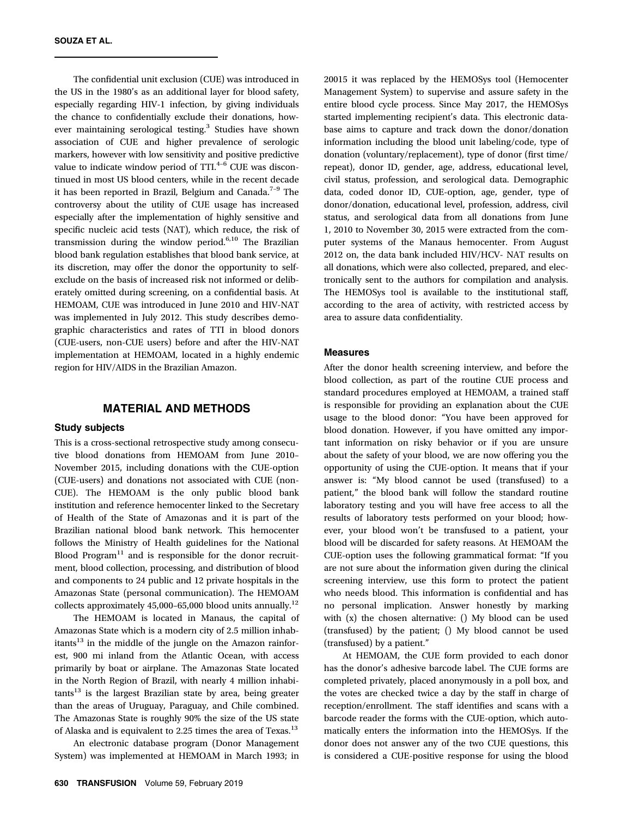The confidential unit exclusion (CUE) was introduced in the US in the 1980's as an additional layer for blood safety, especially regarding HIV-1 infection, by giving individuals the chance to confidentially exclude their donations, however maintaining serological testing.<sup>3</sup> Studies have shown association of CUE and higher prevalence of serologic markers, however with low sensitivity and positive predictive value to indicate window period of  $TTI^{4-6}$  CUE was discontinued in most US blood centers, while in the recent decade it has been reported in Brazil, Belgium and Canada.<sup>7-9</sup> The controversy about the utility of CUE usage has increased especially after the implementation of highly sensitive and specific nucleic acid tests (NAT), which reduce, the risk of transmission during the window period.<sup>6,10</sup> The Brazilian blood bank regulation establishes that blood bank service, at its discretion, may offer the donor the opportunity to selfexclude on the basis of increased risk not informed or deliberately omitted during screening, on a confidential basis. At HEMOAM, CUE was introduced in June 2010 and HIV-NAT was implemented in July 2012. This study describes demographic characteristics and rates of TTI in blood donors (CUE-users, non-CUE users) before and after the HIV-NAT implementation at HEMOAM, located in a highly endemic region for HIV/AIDS in the Brazilian Amazon.

#### MATERIAL AND METHODS

#### Study subjects

This is a cross-sectional retrospective study among consecutive blood donations from HEMOAM from June 2010– November 2015, including donations with the CUE-option (CUE-users) and donations not associated with CUE (non-CUE). The HEMOAM is the only public blood bank institution and reference hemocenter linked to the Secretary of Health of the State of Amazonas and it is part of the Brazilian national blood bank network. This hemocenter follows the Ministry of Health guidelines for the National Blood Program $11$  and is responsible for the donor recruitment, blood collection, processing, and distribution of blood and components to 24 public and 12 private hospitals in the Amazonas State (personal communication). The HEMOAM collects approximately 45,000-65,000 blood units annually.<sup>12</sup>

The HEMOAM is located in Manaus, the capital of Amazonas State which is a modern city of 2.5 million inhab $itants<sup>13</sup>$  in the middle of the jungle on the Amazon rainforest, 900 mi inland from the Atlantic Ocean, with access primarily by boat or airplane. The Amazonas State located in the North Region of Brazil, with nearly 4 million inhabi $tants<sup>13</sup>$  is the largest Brazilian state by area, being greater than the areas of Uruguay, Paraguay, and Chile combined. The Amazonas State is roughly 90% the size of the US state of Alaska and is equivalent to 2.25 times the area of Texas.<sup>13</sup>

An electronic database program (Donor Management System) was implemented at HEMOAM in March 1993; in 20015 it was replaced by the HEMOSys tool (Hemocenter Management System) to supervise and assure safety in the entire blood cycle process. Since May 2017, the HEMOSys started implementing recipient's data. This electronic database aims to capture and track down the donor/donation information including the blood unit labeling/code, type of donation (voluntary/replacement), type of donor (first time/ repeat), donor ID, gender, age, address, educational level, civil status, profession, and serological data. Demographic data, coded donor ID, CUE-option, age, gender, type of donor/donation, educational level, profession, address, civil status, and serological data from all donations from June 1, 2010 to November 30, 2015 were extracted from the computer systems of the Manaus hemocenter. From August 2012 on, the data bank included HIV/HCV- NAT results on all donations, which were also collected, prepared, and electronically sent to the authors for compilation and analysis. The HEMOSys tool is available to the institutional staff, according to the area of activity, with restricted access by area to assure data confidentiality.

#### Measures

After the donor health screening interview, and before the blood collection, as part of the routine CUE process and standard procedures employed at HEMOAM, a trained staff is responsible for providing an explanation about the CUE usage to the blood donor: "You have been approved for blood donation. However, if you have omitted any important information on risky behavior or if you are unsure about the safety of your blood, we are now offering you the opportunity of using the CUE-option. It means that if your answer is: "My blood cannot be used (transfused) to a patient," the blood bank will follow the standard routine laboratory testing and you will have free access to all the results of laboratory tests performed on your blood; however, your blood won't be transfused to a patient, your blood will be discarded for safety reasons. At HEMOAM the CUE-option uses the following grammatical format: "If you are not sure about the information given during the clinical screening interview, use this form to protect the patient who needs blood. This information is confidential and has no personal implication. Answer honestly by marking with (x) the chosen alternative: () My blood can be used (transfused) by the patient; () My blood cannot be used (transfused) by a patient."

At HEMOAM, the CUE form provided to each donor has the donor's adhesive barcode label. The CUE forms are completed privately, placed anonymously in a poll box, and the votes are checked twice a day by the staff in charge of reception/enrollment. The staff identifies and scans with a barcode reader the forms with the CUE-option, which automatically enters the information into the HEMOSys. If the donor does not answer any of the two CUE questions, this is considered a CUE-positive response for using the blood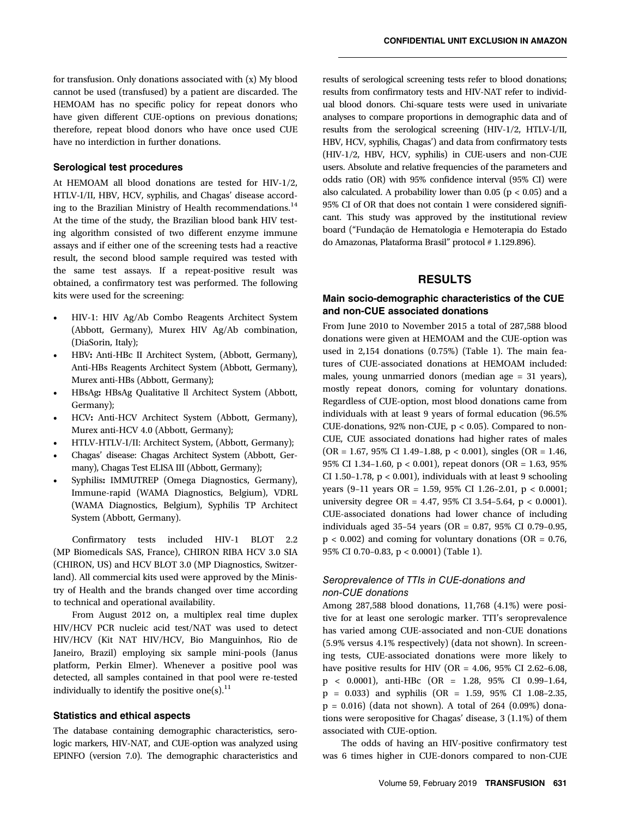for transfusion. Only donations associated with (x) My blood cannot be used (transfused) by a patient are discarded. The HEMOAM has no specific policy for repeat donors who have given different CUE-options on previous donations; therefore, repeat blood donors who have once used CUE have no interdiction in further donations.

#### Serological test procedures

At HEMOAM all blood donations are tested for HIV-1/2, HTLV-I/II, HBV, HCV, syphilis, and Chagas' disease according to the Brazilian Ministry of Health recommendations.<sup>14</sup> At the time of the study, the Brazilian blood bank HIV testing algorithm consisted of two different enzyme immune assays and if either one of the screening tests had a reactive result, the second blood sample required was tested with the same test assays. If a repeat-positive result was obtained, a confirmatory test was performed. The following kits were used for the screening:

- HIV-1: HIV Ag/Ab Combo Reagents Architect System (Abbott, Germany), Murex HIV Ag/Ab combination, (DiaSorin, Italy);
- HBV: Anti-HBc II Architect System, (Abbott, Germany), Anti-HBs Reagents Architect System (Abbott, Germany), Murex anti-HBs (Abbott, Germany);
- HBsAg: HBsAg Qualitative ll Architect System (Abbott, Germany);
- HCV: Anti-HCV Architect System (Abbott, Germany), Murex anti-HCV 4.0 (Abbott, Germany);
- HTLV-HTLV-I/II: Architect System, (Abbott, Germany);
- Chagas' disease: Chagas Architect System (Abbott, Germany), Chagas Test ELISA III (Abbott, Germany);
- Syphilis: IMMUTREP (Omega Diagnostics, Germany), Immune-rapid (WAMA Diagnostics, Belgium), VDRL (WAMA Diagnostics, Belgium), Syphilis TP Architect System (Abbott, Germany).

Confirmatory tests included HIV-1 BLOT 2.2 (MP Biomedicals SAS, France), CHIRON RIBA HCV 3.0 SIA (CHIRON, US) and HCV BLOT 3.0 (MP Diagnostics, Switzerland). All commercial kits used were approved by the Ministry of Health and the brands changed over time according to technical and operational availability.

From August 2012 on, a multiplex real time duplex HIV/HCV PCR nucleic acid test/NAT was used to detect HIV/HCV (Kit NAT HIV/HCV, Bio Manguinhos, Rio de Janeiro, Brazil) employing six sample mini-pools (Janus platform, Perkin Elmer). Whenever a positive pool was detected, all samples contained in that pool were re-tested individually to identify the positive one $(s)$ .<sup>11</sup>

#### Statistics and ethical aspects

The database containing demographic characteristics, serologic markers, HIV-NAT, and CUE-option was analyzed using EPINFO (version 7.0). The demographic characteristics and

results of serological screening tests refer to blood donations; results from confirmatory tests and HIV-NAT refer to individual blood donors. Chi-square tests were used in univariate analyses to compare proportions in demographic data and of results from the serological screening (HIV-1/2, HTLV-I/II, HBV, HCV, syphilis, Chagas') and data from confirmatory tests (HIV-1/2, HBV, HCV, syphilis) in CUE-users and non-CUE users. Absolute and relative frequencies of the parameters and odds ratio (OR) with 95% confidence interval (95% CI) were also calculated. A probability lower than  $0.05$  ( $p < 0.05$ ) and a 95% CI of OR that does not contain 1 were considered significant. This study was approved by the institutional review board ("Fundação de Hematologia e Hemoterapia do Estado do Amazonas, Plataforma Brasil" protocol # 1.129.896).

# **RESULTS**

#### Main socio-demographic characteristics of the CUE and non-CUE associated donations

From June 2010 to November 2015 a total of 287,588 blood donations were given at HEMOAM and the CUE-option was used in 2,154 donations (0.75%) (Table 1). The main features of CUE-associated donations at HEMOAM included: males, young unmarried donors (median age = 31 years), mostly repeat donors, coming for voluntary donations. Regardless of CUE-option, most blood donations came from individuals with at least 9 years of formal education (96.5% CUE-donations, 92% non-CUE, p < 0.05). Compared to non-CUE, CUE associated donations had higher rates of males  $(OR = 1.67, 95\% \text{ CI } 1.49 - 1.88, p < 0.001)$ , singles  $(OR = 1.46,$ 95% CI 1.34–1.60, p < 0.001), repeat donors (OR = 1.63, 95% CI 1.50-1.78,  $p < 0.001$ ), individuals with at least 9 schooling years (9–11 years OR = 1.59, 95% CI 1.26–2.01, p < 0.0001; university degree OR = 4.47, 95% CI 3.54–5.64, p < 0.0001). CUE-associated donations had lower chance of including individuals aged 35–54 years (OR = 0.87, 95% CI 0.79–0.95,  $p < 0.002$ ) and coming for voluntary donations (OR = 0.76, 95% CI 0.70–0.83, p < 0.0001) (Table 1).

## Seroprevalence of TTIs in CUE-donations and non-CUE donations

Among 287,588 blood donations, 11,768 (4.1%) were positive for at least one serologic marker. TTI's seroprevalence has varied among CUE-associated and non-CUE donations (5.9% versus 4.1% respectively) (data not shown). In screening tests, CUE-associated donations were more likely to have positive results for HIV (OR =  $4.06$ ,  $95\%$  CI 2.62-6.08, p < 0.0001), anti-HBc (OR = 1.28, 95% CI 0.99–1.64,  $p = 0.033$  and syphilis (OR = 1.59, 95% CI 1.08-2.35,  $p = 0.016$ ) (data not shown). A total of 264 (0.09%) donations were seropositive for Chagas' disease, 3 (1.1%) of them associated with CUE-option.

The odds of having an HIV-positive confirmatory test was 6 times higher in CUE-donors compared to non-CUE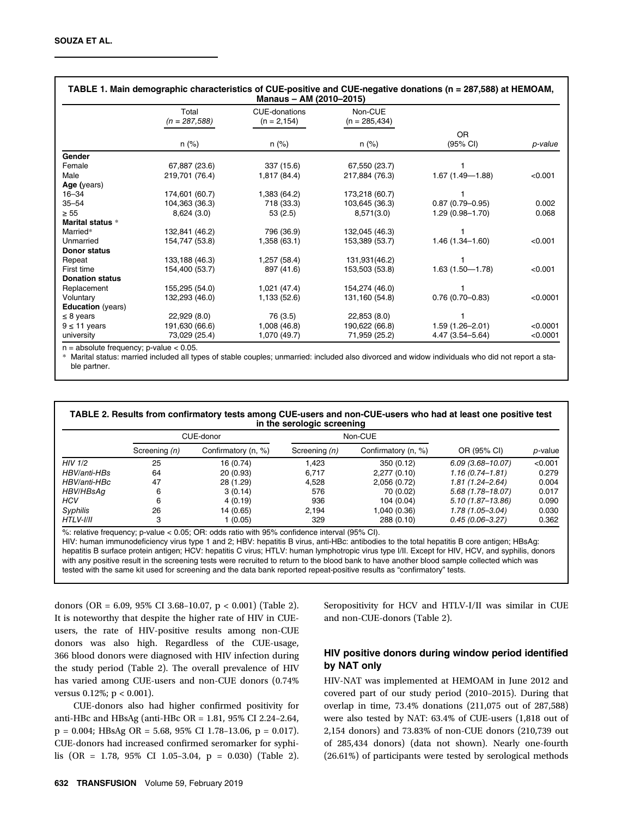|                          | Total<br>$(n = 287,588)$ | <b>CUE-donations</b><br>$(n = 2, 154)$ | Non-CUE<br>$(n = 285, 434)$ |                       |          |
|--------------------------|--------------------------|----------------------------------------|-----------------------------|-----------------------|----------|
|                          | $n (\%)$                 | n (%)                                  | $n$ (%)                     | <b>OR</b><br>(95% CI) | p-value  |
| Gender                   |                          |                                        |                             |                       |          |
| Female                   | 67,887 (23.6)            | 337 (15.6)                             | 67,550 (23.7)               |                       |          |
| Male                     | 219,701 (76.4)           | 1,817 (84.4)                           | 217,884 (76.3)              | $1.67(1.49 - 1.88)$   | < 0.001  |
| Age (years)              |                          |                                        |                             |                       |          |
| $16 - 34$                | 174,601 (60.7)           | 1,383 (64.2)                           | 173,218 (60.7)              |                       |          |
| $35 - 54$                | 104,363 (36.3)           | 718 (33.3)                             | 103,645 (36.3)              | $0.87(0.79 - 0.95)$   | 0.002    |
| $\geq 55$                | 8,624(3.0)               | 53(2.5)                                | 8,571(3.0)                  | 1.29 (0.98-1.70)      | 0.068    |
| Marital status *         |                          |                                        |                             |                       |          |
| Married*                 | 132,841 (46.2)           | 796 (36.9)                             | 132,045 (46.3)              |                       |          |
| Unmarried                | 154,747 (53.8)           | 1,358 (63.1)                           | 153,389 (53.7)              | $1.46(1.34 - 1.60)$   | < 0.001  |
| <b>Donor status</b>      |                          |                                        |                             |                       |          |
| Repeat                   | 133,188 (46.3)           | 1,257 (58.4)                           | 131,931(46.2)               |                       |          |
| First time               | 154,400 (53.7)           | 897 (41.6)                             | 153,503 (53.8)              | $1.63(1.50 - 1.78)$   | < 0.001  |
| <b>Donation status</b>   |                          |                                        |                             |                       |          |
| Replacement              | 155,295 (54.0)           | 1,021 (47.4)                           | 154,274 (46.0)              |                       |          |
| Voluntary                | 132,293 (46.0)           | 1,133 (52.6)                           | 131,160 (54.8)              | $0.76(0.70 - 0.83)$   | < 0.0001 |
| <b>Education</b> (years) |                          |                                        |                             |                       |          |
| $\leq$ 8 years           | 22,929 (8.0)             | 76 (3.5)                               | 22,853 (8.0)                |                       |          |
| $9 \le 11$ years         | 191,630 (66.6)           | 1,008 (46.8)                           | 190,622 (66.8)              | $1.59(1.26 - 2.01)$   | < 0.0001 |
| university               | 73,029 (25.4)            | 1,070 (49.7)                           | 71,959 (25.2)               | 4.47 (3.54-5.64)      | < 0.0001 |

 $n =$  absolute frequency; p-value  $< 0.05$ .

Marital status: married included all types of stable couples; unmarried: included also divorced and widow individuals who did not report a stable partner.

|              | CUE-donor     |                     | Non-CUE       |                     |                      |         |
|--------------|---------------|---------------------|---------------|---------------------|----------------------|---------|
|              | Screening (n) | Confirmatory (n, %) | Screening (n) | Confirmatory (n, %) | OR (95% CI)          | p-value |
| HIV $1/2$    | 25            | 16 (0.74)           | 1.423         | 350 (0.12)          | $6.09(3.68 - 10.07)$ | < 0.001 |
| HBV/anti-HBs | 64            | 20(0.93)            | 6.717         | 2,277(0.10)         | $1.16(0.74 - 1.81)$  | 0.279   |
| HBV/anti-HBc | 47            | 28 (1.29)           | 4.528         | 2,056(0.72)         | 1.81 (1.24–2.64)     | 0.004   |
| HBV/HBsAq    | 6             | 3(0.14)             | 576           | 70 (0.02)           | $5.68(1.78 - 18.07)$ | 0.017   |
| <b>HCV</b>   | 6             | 4(0.19)             | 936           | 104 (0.04)          | $5.10(1.87 - 13.86)$ | 0.090   |
| Syphilis     | 26            | 14 (0.65)           | 2.194         | 1,040 (0.36)        | 1.78 (1.05-3.04)     | 0.030   |
| HTLV-I/II    | 3             | 1 (0.05)            | 329           | 288 (0.10)          | $0.45(0.06 - 3.27)$  | 0.362   |

%: relative frequency; p-value < 0.05; OR: odds ratio with 95% confidence interval (95% CI).

HIV: human immunodeficiency virus type 1 and 2; HBV: hepatitis B virus, anti-HBc: antibodies to the total hepatitis B core antigen; HBsAg: hepatitis B surface protein antigen; HCV: hepatitis C virus; HTLV: human lymphotropic virus type I/II. Except for HIV, HCV, and syphilis, donors with any positive result in the screening tests were recruited to return to the blood bank to have another blood sample collected which was tested with the same kit used for screening and the data bank reported repeat-positive results as "confirmatory" tests.

donors (OR = 6.09, 95% CI 3.68–10.07, p < 0.001) (Table 2). It is noteworthy that despite the higher rate of HIV in CUEusers, the rate of HIV-positive results among non-CUE donors was also high. Regardless of the CUE-usage, 366 blood donors were diagnosed with HIV infection during the study period (Table 2). The overall prevalence of HIV has varied among CUE-users and non-CUE donors (0.74% versus 0.12%;  $p < 0.001$ ).

CUE-donors also had higher confirmed positivity for anti-HBc and HBsAg (anti-HBc OR = 1.81, 95% CI 2.24–2.64,  $p = 0.004$ ; HBsAg OR = 5.68, 95% CI 1.78-13.06,  $p = 0.017$ ). CUE-donors had increased confirmed seromarker for syphilis (OR = 1.78, 95% CI 1.05–3.04, p = 0.030) (Table 2). Seropositivity for HCV and HTLV-I/II was similar in CUE and non-CUE-donors (Table 2).

## HIV positive donors during window period identified by NAT only

HIV-NAT was implemented at HEMOAM in June 2012 and covered part of our study period (2010–2015). During that overlap in time, 73.4% donations (211,075 out of 287,588) were also tested by NAT: 63.4% of CUE-users (1,818 out of 2,154 donors) and 73.83% of non-CUE donors (210,739 out of 285,434 donors) (data not shown). Nearly one-fourth (26.61%) of participants were tested by serological methods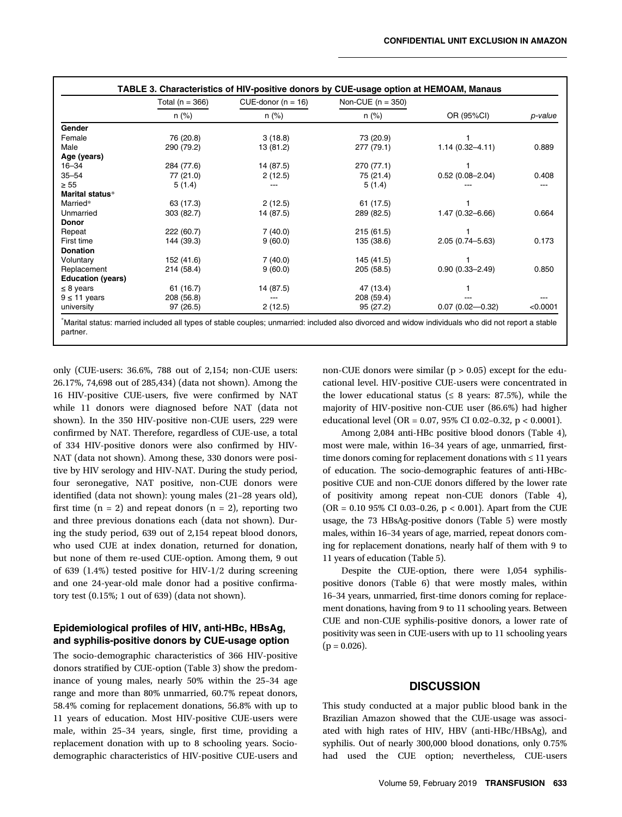|                          | Total (n = 366) | CUE-donor ( $n = 16$ ) | Non-CUE $(n = 350)$ |                     |          |
|--------------------------|-----------------|------------------------|---------------------|---------------------|----------|
|                          | n (%)           | $n (\%)$               | $n (\%)$            | OR (95%CI)          | p-value  |
| Gender                   |                 |                        |                     |                     |          |
| Female                   | 76 (20.8)       | 3(18.8)                | 73 (20.9)           |                     |          |
| Male                     | 290 (79.2)      | 13 (81.2)              | 277 (79.1)          | $1.14(0.32 - 4.11)$ | 0.889    |
| Age (years)              |                 |                        |                     |                     |          |
| 16-34                    | 284 (77.6)      | 14 (87.5)              | 270 (77.1)          |                     |          |
| $35 - 54$                | 77 (21.0)       | 2(12.5)                | 75 (21.4)           | $0.52(0.08 - 2.04)$ | 0.408    |
| $\geq 55$                | 5(1.4)          |                        | 5(1.4)              |                     |          |
| Marital status*          |                 |                        |                     |                     |          |
| Married*                 | 63 (17.3)       | 2(12.5)                | 61 (17.5)           |                     |          |
| Unmarried                | 303 (82.7)      | 14 (87.5)              | 289 (82.5)          | $1.47(0.32 - 6.66)$ | 0.664    |
| Donor                    |                 |                        |                     |                     |          |
| Repeat                   | 222 (60.7)      | 7(40.0)                | 215(61.5)           |                     |          |
| First time               | 144 (39.3)      | 9(60.0)                | 135 (38.6)          | $2.05(0.74 - 5.63)$ | 0.173    |
| <b>Donation</b>          |                 |                        |                     |                     |          |
| Voluntary                | 152 (41.6)      | 7(40.0)                | 145 (41.5)          |                     |          |
| Replacement              | 214 (58.4)      | 9(60.0)                | 205 (58.5)          | $0.90(0.33 - 2.49)$ | 0.850    |
| <b>Education (years)</b> |                 |                        |                     |                     |          |
| $\leq$ 8 years           | 61 (16.7)       | 14 (87.5)              | 47 (13.4)           |                     |          |
| $9 \leq 11$ years        | 208 (56.8)      |                        | 208 (59.4)          |                     |          |
| university               | 97 (26.5)       | 2(12.5)                | 95 (27.2)           | $0.07(0.02 - 0.32)$ | < 0.0001 |

only (CUE-users: 36.6%, 788 out of 2,154; non-CUE users: 26.17%, 74,698 out of 285,434) (data not shown). Among the 16 HIV-positive CUE-users, five were confirmed by NAT while 11 donors were diagnosed before NAT (data not shown). In the 350 HIV-positive non-CUE users, 229 were confirmed by NAT. Therefore, regardless of CUE-use, a total of 334 HIV-positive donors were also confirmed by HIV-NAT (data not shown). Among these, 330 donors were positive by HIV serology and HIV-NAT. During the study period, four seronegative, NAT positive, non-CUE donors were identified (data not shown): young males (21–28 years old), first time  $(n = 2)$  and repeat donors  $(n = 2)$ , reporting two and three previous donations each (data not shown). During the study period, 639 out of 2,154 repeat blood donors, who used CUE at index donation, returned for donation, but none of them re-used CUE-option. Among them, 9 out of 639 (1.4%) tested positive for HIV-1/2 during screening and one 24-year-old male donor had a positive confirmatory test (0.15%; 1 out of 639) (data not shown).

### Epidemiological profiles of HIV, anti-HBc, HBsAg, and syphilis-positive donors by CUE-usage option

The socio-demographic characteristics of 366 HIV-positive donors stratified by CUE-option (Table 3) show the predominance of young males, nearly 50% within the 25–34 age range and more than 80% unmarried, 60.7% repeat donors, 58.4% coming for replacement donations, 56.8% with up to 11 years of education. Most HIV-positive CUE-users were male, within 25–34 years, single, first time, providing a replacement donation with up to 8 schooling years. Sociodemographic characteristics of HIV-positive CUE-users and non-CUE donors were similar ( $p > 0.05$ ) except for the educational level. HIV-positive CUE-users were concentrated in the lower educational status ( $\leq 8$  years: 87.5%), while the majority of HIV-positive non-CUE user (86.6%) had higher educational level (OR = 0.07, 95% CI 0.02–0.32, p < 0.0001).

Among 2,084 anti-HBc positive blood donors (Table 4), most were male, within 16–34 years of age, unmarried, firsttime donors coming for replacement donations with ≤ 11 years of education. The socio-demographic features of anti-HBcpositive CUE and non-CUE donors differed by the lower rate of positivity among repeat non-CUE donors (Table 4), (OR = 0.10 95% CI 0.03–0.26, p < 0.001). Apart from the CUE usage, the 73 HBsAg-positive donors (Table 5) were mostly males, within 16–34 years of age, married, repeat donors coming for replacement donations, nearly half of them with 9 to 11 years of education (Table 5).

Despite the CUE-option, there were 1,054 syphilispositive donors (Table 6) that were mostly males, within 16–34 years, unmarried, first-time donors coming for replacement donations, having from 9 to 11 schooling years. Between CUE and non-CUE syphilis-positive donors, a lower rate of positivity was seen in CUE-users with up to 11 schooling years  $(p = 0.026)$ .

## **DISCUSSION**

This study conducted at a major public blood bank in the Brazilian Amazon showed that the CUE-usage was associated with high rates of HIV, HBV (anti-HBc/HBsAg), and syphilis. Out of nearly 300,000 blood donations, only 0.75% had used the CUE option; nevertheless, CUE-users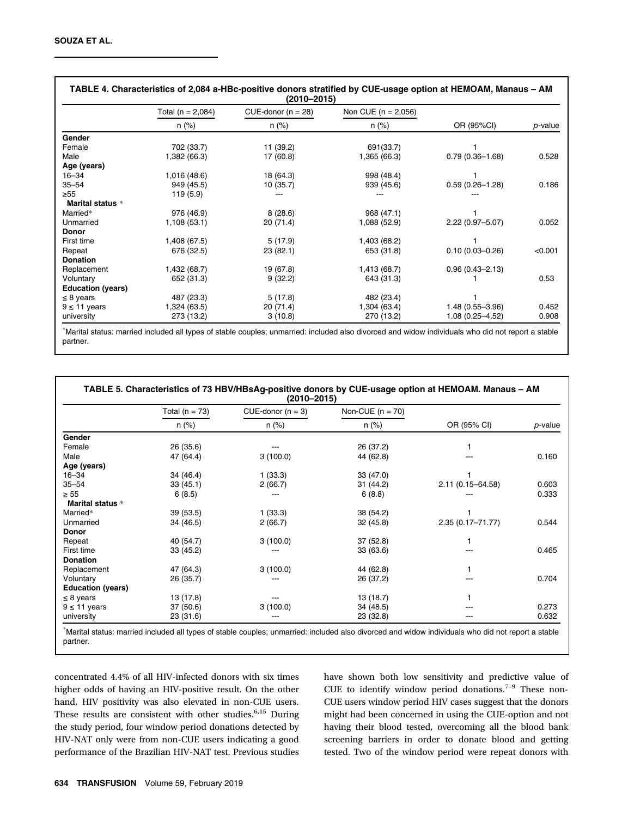|                          | Total (n = 2,084) | $CUE$ -donor (n = 28) | Non CUE ( $n = 2,056$ ) |                     |         |
|--------------------------|-------------------|-----------------------|-------------------------|---------------------|---------|
|                          | $n$ (%)           | n (%)                 | $n$ (%)                 | OR (95%CI)          | p-value |
| Gender                   |                   |                       |                         |                     |         |
| Female                   | 702 (33.7)        | 11 (39.2)             | 691(33.7)               |                     |         |
| Male                     | 1,382 (66.3)      | 17 (60.8)             | 1,365 (66.3)            | $0.79(0.36 - 1.68)$ | 0.528   |
| Age (years)              |                   |                       |                         |                     |         |
| $16 - 34$                | 1,016(48.6)       | 18 (64.3)             | 998 (48.4)              |                     |         |
| $35 - 54$                | 949 (45.5)        | 10(35.7)              | 939 (45.6)              | $0.59(0.26 - 1.28)$ | 0.186   |
| $\geq 55$                | 119 (5.9)         |                       |                         |                     |         |
| <b>Marital status *</b>  |                   |                       |                         |                     |         |
| Married*                 | 976 (46.9)        | 8(28.6)               | 968 (47.1)              |                     |         |
| Unmarried                | 1,108(53.1)       | 20 (71.4)             | 1,088 (52.9)            | $2.22(0.97 - 5.07)$ | 0.052   |
| <b>Donor</b>             |                   |                       |                         |                     |         |
| First time               | 1,408 (67.5)      | 5(17.9)               | 1,403 (68.2)            |                     |         |
| Repeat                   | 676 (32.5)        | 23(82.1)              | 653 (31.8)              | $0.10(0.03 - 0.26)$ | < 0.001 |
| <b>Donation</b>          |                   |                       |                         |                     |         |
| Replacement              | 1,432 (68.7)      | 19 (67.8)             | 1,413 (68.7)            | $0.96(0.43 - 2.13)$ |         |
| Voluntary                | 652 (31.3)        | 9(32.2)               | 643 (31.3)              |                     | 0.53    |
| <b>Education (years)</b> |                   |                       |                         |                     |         |
| $\leq$ 8 years           | 487 (23.3)        | 5(17.8)               | 482 (23.4)              |                     |         |
| $9 \le 11$ years         | 1,324 (63.5)      | 20 (71.4)             | 1,304 (63.4)            | 1.48 (0.55-3.96)    | 0.452   |
| university               | 273 (13.2)        | 3(10.8)               | 270 (13.2)              | 1.08 (0.25-4.52)    | 0.908   |

\* Marital status: married included all types of stable couples; unmarried: included also divorced and widow individuals who did not report a stable partner.

|                          | Total ( $n = 73$ ) | $CUE$ -donor (n = 3) | Non-CUE $(n = 70)$ |                      |         |
|--------------------------|--------------------|----------------------|--------------------|----------------------|---------|
|                          | $n$ (%)            | $n (\%)$             | $n$ (%)            | OR (95% CI)          | p-value |
| Gender                   |                    |                      |                    |                      |         |
| Female                   | 26 (35.6)          |                      | 26 (37.2)          |                      |         |
| Male                     | 47 (64.4)          | 3(100.0)             | 44 (62.8)          |                      | 0.160   |
| Age (years)              |                    |                      |                    |                      |         |
| $16 - 34$                | 34 (46.4)          | 1(33.3)              | 33 (47.0)          |                      |         |
| $35 - 54$                | 33(45.1)           | 2(66.7)              | 31 (44.2)          | 2.11 (0.15-64.58)    | 0.603   |
| $\geq 55$                | 6(8.5)             | ---                  | 6(8.8)             |                      | 0.333   |
| Marital status *         |                    |                      |                    |                      |         |
| Married*                 | 39 (53.5)          | 1(33.3)              | 38 (54.2)          |                      |         |
| Unmarried                | 34 (46.5)          | 2(66.7)              | 32(45.8)           | $2.35(0.17 - 71.77)$ | 0.544   |
| <b>Donor</b>             |                    |                      |                    |                      |         |
| Repeat                   | 40 (54.7)          | 3(100.0)             | 37 (52.8)          |                      |         |
| First time               | 33(45.2)           |                      | 33 (63.6)          |                      | 0.465   |
| <b>Donation</b>          |                    |                      |                    |                      |         |
| Replacement              | 47 (64.3)          | 3(100.0)             | 44 (62.8)          |                      |         |
| Voluntary                | 26 (35.7)          |                      | 26 (37.2)          | ---                  | 0.704   |
| <b>Education (years)</b> |                    |                      |                    |                      |         |
| $\leq$ 8 years           | 13 (17.8)          |                      | 13 (18.7)          |                      |         |
| $9 \le 11$ years         | 37 (50.6)          | 3(100.0)             | 34 (48.5)          | ---                  | 0.273   |
| university               | 23 (31.6)          | ---                  | 23 (32.8)          | ---                  | 0.632   |

Marital status: married included all types of stable couples; unmarried: included also divorced and widow individuals who did not report a stable partner.

concentrated 4.4% of all HIV-infected donors with six times higher odds of having an HIV-positive result. On the other hand, HIV positivity was also elevated in non-CUE users. These results are consistent with other studies. $6,15$  During the study period, four window period donations detected by HIV-NAT only were from non-CUE users indicating a good performance of the Brazilian HIV-NAT test. Previous studies

have shown both low sensitivity and predictive value of CUE to identify window period donations.7–<sup>9</sup> These non-CUE users window period HIV cases suggest that the donors might had been concerned in using the CUE-option and not having their blood tested, overcoming all the blood bank screening barriers in order to donate blood and getting tested. Two of the window period were repeat donors with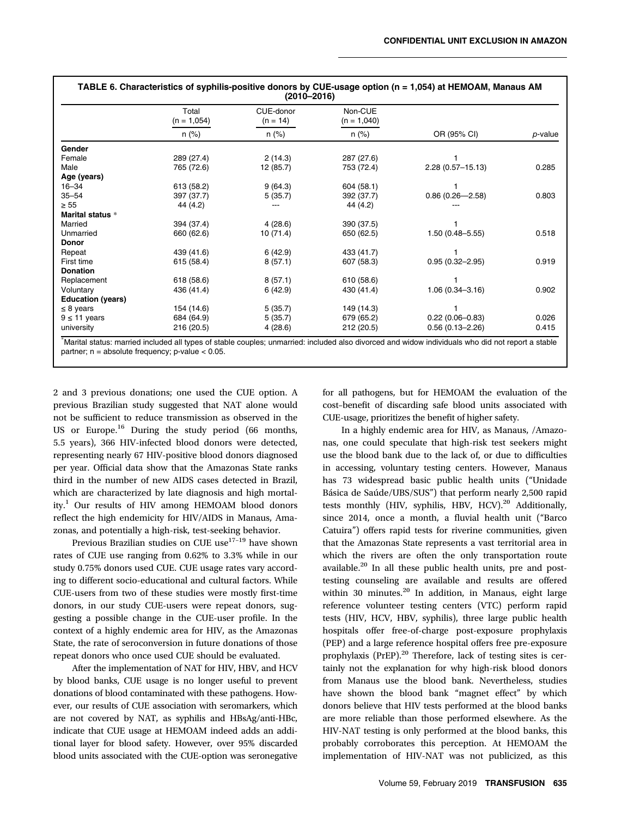|                          | Total<br>$(n = 1,054)$<br>$n (\%)$ | CUE-donor<br>$(n = 14)$<br>$n (\%)$ | Non-CUE<br>$(n = 1,040)$<br>$n$ (%) | OR (95% CI)          | p-value |
|--------------------------|------------------------------------|-------------------------------------|-------------------------------------|----------------------|---------|
|                          |                                    |                                     |                                     |                      |         |
| Gender                   |                                    |                                     |                                     |                      |         |
| Female                   | 289 (27.4)                         | 2(14.3)                             | 287 (27.6)                          |                      |         |
| Male                     | 765 (72.6)                         | 12 (85.7)                           | 753 (72.4)                          | $2.28(0.57 - 15.13)$ | 0.285   |
| Age (years)              |                                    |                                     |                                     |                      |         |
| $16 - 34$                | 613 (58.2)                         | 9(64.3)                             | 604 (58.1)                          |                      |         |
| $35 - 54$                | 397 (37.7)                         | 5(35.7)                             | 392 (37.7)                          | $0.86(0.26 - 2.58)$  | 0.803   |
| $\geq 55$                | 44 (4.2)                           | ---                                 | 44 (4.2)                            |                      |         |
| Marital status *         |                                    |                                     |                                     |                      |         |
| Married                  | 394 (37.4)                         | 4(28.6)                             | 390 (37.5)                          |                      |         |
| Unmarried                | 660 (62.6)                         | 10(71.4)                            | 650 (62.5)                          | $1.50(0.48 - 5.55)$  | 0.518   |
| <b>Donor</b>             |                                    |                                     |                                     |                      |         |
| Repeat                   | 439 (41.6)                         | 6(42.9)                             | 433 (41.7)                          |                      |         |
| First time               | 615 (58.4)                         | 8(57.1)                             | 607 (58.3)                          | $0.95(0.32 - 2.95)$  | 0.919   |
| <b>Donation</b>          |                                    |                                     |                                     |                      |         |
| Replacement              | 618 (58.6)                         | 8(57.1)                             | 610 (58.6)                          |                      |         |
| Voluntary                | 436 (41.4)                         | 6(42.9)                             | 430 (41.4)                          | $1.06(0.34 - 3.16)$  | 0.902   |
| <b>Education (years)</b> |                                    |                                     |                                     |                      |         |
| $\leq$ 8 years           | 154 (14.6)                         | 5(35.7)                             | 149 (14.3)                          |                      |         |
| $9 \le 11$ years         | 684 (64.9)                         | 5(35.7)                             | 679 (65.2)                          | $0.22(0.06 - 0.83)$  | 0.026   |
| university               | 216 (20.5)                         | 4(28.6)                             | 212 (20.5)                          | $0.56(0.13 - 2.26)$  | 0.415   |

Marital status: married included all types of stable couples; unmarried: included also divorced and widow individuals who did not report a stable partner;  $n = absolute frequency$ ; p-value < 0.05.

2 and 3 previous donations; one used the CUE option. A previous Brazilian study suggested that NAT alone would not be sufficient to reduce transmission as observed in the US or Europe.<sup>16</sup> During the study period (66 months, 5.5 years), 366 HIV-infected blood donors were detected, representing nearly 67 HIV-positive blood donors diagnosed per year. Official data show that the Amazonas State ranks third in the number of new AIDS cases detected in Brazil, which are characterized by late diagnosis and high mortality.1 Our results of HIV among HEMOAM blood donors reflect the high endemicity for HIV/AIDS in Manaus, Amazonas, and potentially a high-risk, test-seeking behavior.

Previous Brazilian studies on CUE use<sup>17-19</sup> have shown rates of CUE use ranging from 0.62% to 3.3% while in our study 0.75% donors used CUE. CUE usage rates vary according to different socio-educational and cultural factors. While CUE-users from two of these studies were mostly first-time donors, in our study CUE-users were repeat donors, suggesting a possible change in the CUE-user profile. In the context of a highly endemic area for HIV, as the Amazonas State, the rate of seroconversion in future donations of those repeat donors who once used CUE should be evaluated.

After the implementation of NAT for HIV, HBV, and HCV by blood banks, CUE usage is no longer useful to prevent donations of blood contaminated with these pathogens. However, our results of CUE association with seromarkers, which are not covered by NAT, as syphilis and HBsAg/anti-HBc, indicate that CUE usage at HEMOAM indeed adds an additional layer for blood safety. However, over 95% discarded blood units associated with the CUE-option was seronegative

for all pathogens, but for HEMOAM the evaluation of the cost–benefit of discarding safe blood units associated with CUE-usage, prioritizes the benefit of higher safety.

In a highly endemic area for HIV, as Manaus, /Amazonas, one could speculate that high-risk test seekers might use the blood bank due to the lack of, or due to difficulties in accessing, voluntary testing centers. However, Manaus has 73 widespread basic public health units ("Unidade Básica de Saúde/UBS/SUS") that perform nearly 2,500 rapid tests monthly (HIV, syphilis, HBV, HCV). $^{20}$  Additionally, since 2014, once a month, a fluvial health unit ("Barco Catuira") offers rapid tests for riverine communities, given that the Amazonas State represents a vast territorial area in which the rivers are often the only transportation route available.<sup>20</sup> In all these public health units, pre and posttesting counseling are available and results are offered within 30 minutes. $^{20}$  In addition, in Manaus, eight large reference volunteer testing centers (VTC) perform rapid tests (HIV, HCV, HBV, syphilis), three large public health hospitals offer free-of-charge post-exposure prophylaxis (PEP) and a large reference hospital offers free pre-exposure prophylaxis  $(PreP).^{20}$  Therefore, lack of testing sites is certainly not the explanation for why high-risk blood donors from Manaus use the blood bank. Nevertheless, studies have shown the blood bank "magnet effect" by which donors believe that HIV tests performed at the blood banks are more reliable than those performed elsewhere. As the HIV-NAT testing is only performed at the blood banks, this probably corroborates this perception. At HEMOAM the implementation of HIV-NAT was not publicized, as this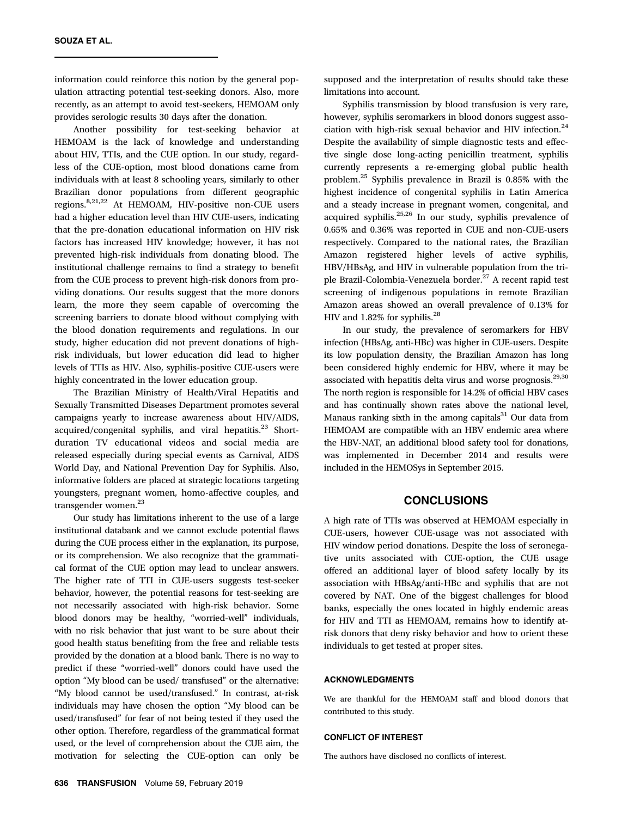information could reinforce this notion by the general population attracting potential test-seeking donors. Also, more recently, as an attempt to avoid test-seekers, HEMOAM only provides serologic results 30 days after the donation.

Another possibility for test-seeking behavior at HEMOAM is the lack of knowledge and understanding about HIV, TTIs, and the CUE option. In our study, regardless of the CUE-option, most blood donations came from individuals with at least 8 schooling years, similarly to other Brazilian donor populations from different geographic regions.8,21,22 At HEMOAM, HIV-positive non-CUE users had a higher education level than HIV CUE-users, indicating that the pre-donation educational information on HIV risk factors has increased HIV knowledge; however, it has not prevented high-risk individuals from donating blood. The institutional challenge remains to find a strategy to benefit from the CUE process to prevent high-risk donors from providing donations. Our results suggest that the more donors learn, the more they seem capable of overcoming the screening barriers to donate blood without complying with the blood donation requirements and regulations. In our study, higher education did not prevent donations of highrisk individuals, but lower education did lead to higher levels of TTIs as HIV. Also, syphilis-positive CUE-users were highly concentrated in the lower education group.

The Brazilian Ministry of Health/Viral Hepatitis and Sexually Transmitted Diseases Department promotes several campaigns yearly to increase awareness about HIV/AIDS, acquired/congenital syphilis, and viral hepatitis. $^{23}$  Shortduration TV educational videos and social media are released especially during special events as Carnival, AIDS World Day, and National Prevention Day for Syphilis. Also, informative folders are placed at strategic locations targeting youngsters, pregnant women, homo-affective couples, and transgender women.<sup>23</sup>

Our study has limitations inherent to the use of a large institutional databank and we cannot exclude potential flaws during the CUE process either in the explanation, its purpose, or its comprehension. We also recognize that the grammatical format of the CUE option may lead to unclear answers. The higher rate of TTI in CUE-users suggests test-seeker behavior, however, the potential reasons for test-seeking are not necessarily associated with high-risk behavior. Some blood donors may be healthy, "worried-well" individuals, with no risk behavior that just want to be sure about their good health status benefiting from the free and reliable tests provided by the donation at a blood bank. There is no way to predict if these "worried-well" donors could have used the option "My blood can be used/ transfused" or the alternative: "My blood cannot be used/transfused." In contrast, at-risk individuals may have chosen the option "My blood can be used/transfused" for fear of not being tested if they used the other option. Therefore, regardless of the grammatical format used, or the level of comprehension about the CUE aim, the motivation for selecting the CUE-option can only be supposed and the interpretation of results should take these limitations into account.

Syphilis transmission by blood transfusion is very rare, however, syphilis seromarkers in blood donors suggest association with high-risk sexual behavior and HIV infection.<sup>24</sup> Despite the availability of simple diagnostic tests and effective single dose long-acting penicillin treatment, syphilis currently represents a re-emerging global public health problem.25 Syphilis prevalence in Brazil is 0.85% with the highest incidence of congenital syphilis in Latin America and a steady increase in pregnant women, congenital, and acquired syphilis.25,26 In our study, syphilis prevalence of 0.65% and 0.36% was reported in CUE and non-CUE-users respectively. Compared to the national rates, the Brazilian Amazon registered higher levels of active syphilis, HBV/HBsAg, and HIV in vulnerable population from the triple Brazil-Colombia-Venezuela border.<sup>27</sup> A recent rapid test screening of indigenous populations in remote Brazilian Amazon areas showed an overall prevalence of 0.13% for HIV and  $1.82\%$  for syphilis.<sup>28</sup>

In our study, the prevalence of seromarkers for HBV infection (HBsAg, anti-HBc) was higher in CUE-users. Despite its low population density, the Brazilian Amazon has long been considered highly endemic for HBV, where it may be associated with hepatitis delta virus and worse prognosis.29,30 The north region is responsible for 14.2% of official HBV cases and has continually shown rates above the national level, Manaus ranking sixth in the among capitals $31$  Our data from HEMOAM are compatible with an HBV endemic area where the HBV-NAT, an additional blood safety tool for donations, was implemented in December 2014 and results were included in the HEMOSys in September 2015.

## **CONCLUSIONS**

A high rate of TTIs was observed at HEMOAM especially in CUE-users, however CUE-usage was not associated with HIV window period donations. Despite the loss of seronegative units associated with CUE-option, the CUE usage offered an additional layer of blood safety locally by its association with HBsAg/anti-HBc and syphilis that are not covered by NAT. One of the biggest challenges for blood banks, especially the ones located in highly endemic areas for HIV and TTI as HEMOAM, remains how to identify atrisk donors that deny risky behavior and how to orient these individuals to get tested at proper sites.

#### ACKNOWLEDGMENTS

We are thankful for the HEMOAM staff and blood donors that contributed to this study.

#### CONFLICT OF INTEREST

The authors have disclosed no conflicts of interest.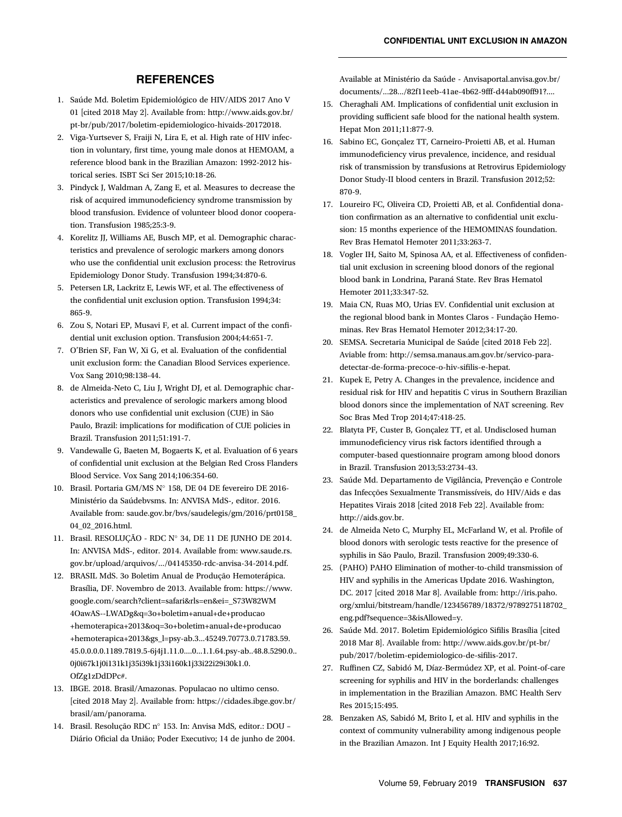# **REFERENCES**

- 1. Saúde Md. Boletim Epidemiológico de HIV/AIDS 2017 Ano V 01 [cited 2018 May 2]. Available from: [http://www.aids.gov.br/](http://www.aids.gov.br/pt-br/pub/2017/boletim-epidemiologico-hivaids-20172018) [pt-br/pub/2017/boletim-epidemiologico-hivaids-20172018](http://www.aids.gov.br/pt-br/pub/2017/boletim-epidemiologico-hivaids-20172018).
- 2. Viga-Yurtsever S, Fraiji N, Lira E, et al. High rate of HIV infection in voluntary, first time, young male donos at HEMOAM, a reference blood bank in the Brazilian Amazon: 1992-2012 historical series. ISBT Sci Ser 2015;10:18-26.
- 3. Pindyck J, Waldman A, Zang E, et al. Measures to decrease the risk of acquired immunodeficiency syndrome transmission by blood transfusion. Evidence of volunteer blood donor cooperation. Transfusion 1985;25:3-9.
- 4. Korelitz JJ, Williams AE, Busch MP, et al. Demographic characteristics and prevalence of serologic markers among donors who use the confidential unit exclusion process: the Retrovirus Epidemiology Donor Study. Transfusion 1994;34:870-6.
- 5. Petersen LR, Lackritz E, Lewis WF, et al. The effectiveness of the confidential unit exclusion option. Transfusion 1994;34: 865-9.
- 6. Zou S, Notari EP, Musavi F, et al. Current impact of the confidential unit exclusion option. Transfusion 2004;44:651-7.
- 7. O'Brien SF, Fan W, Xi G, et al. Evaluation of the confidential unit exclusion form: the Canadian Blood Services experience. Vox Sang 2010;98:138-44.
- 8. de Almeida-Neto C, Liu J, Wright DJ, et al. Demographic characteristics and prevalence of serologic markers among blood donors who use confidential unit exclusion (CUE) in São Paulo, Brazil: implications for modification of CUE policies in Brazil. Transfusion 2011;51:191-7.
- 9. Vandewalle G, Baeten M, Bogaerts K, et al. Evaluation of 6 years of confidential unit exclusion at the Belgian Red Cross Flanders Blood Service. Vox Sang 2014;106:354-60.
- 10. Brasil. Portaria GM/MS N° 158, DE 04 DE fevereiro DE 2016-Ministério da Saúdebvsms. In: ANVISA MdS-, editor. 2016. Available from: [saude.gov.br/bvs/saudelegis/gm/2016/prt0158\\_](saude.gov.br/bvs/saudelegis/gm/2016/prt0158_04_02_2016.html) [04\\_02\\_2016.html.](saude.gov.br/bvs/saudelegis/gm/2016/prt0158_04_02_2016.html)
- 11. Brasil. RESOLUÇÃO RDC N° 34, DE 11 DE JUNHO DE 2014. In: ANVISA MdS-, editor. 2014. Available from: [www.saude.rs.](www.saude.rs.gov.br/upload/arquivos/.../04145350-rdc-anvisa-34-2014.pdf) [gov.br/upload/arquivos/.../04145350-rdc-anvisa-34-2014.pdf](www.saude.rs.gov.br/upload/arquivos/.../04145350-rdc-anvisa-34-2014.pdf).
- 12. BRASIL MdS. 3o Boletim Anual de Produção Hemoterápica. Brasília, DF. Novembro de 2013. Available from: [https://www.](https://www.google.com/search?client=safariandrls=enandei=_S73W82WM4OawAS--LWADgandq=3o+boletim+anual+de+producao+hemoterapica+2013andoq=3o+boletim+anual+de+producao+hemoterapica+2013andgs_l=psy-ab.3...45249.70773.0.71783.59.45.0.0.0.0.1189.7819.5-6j4j1.11.0....0...1.1.64.psy-ab..48.8.5290.0..0j0i67k1j0i131k1j35i39k1j33i160k1j33i22i29i30k1.0.OfZg1zDdDPc#) [google.com/search?client=safari&rls=en&ei=\\_S73W82WM](https://www.google.com/search?client=safariandrls=enandei=_S73W82WM4OawAS--LWADgandq=3o+boletim+anual+de+producao+hemoterapica+2013andoq=3o+boletim+anual+de+producao+hemoterapica+2013andgs_l=psy-ab.3...45249.70773.0.71783.59.45.0.0.0.0.1189.7819.5-6j4j1.11.0....0...1.1.64.psy-ab..48.8.5290.0..0j0i67k1j0i131k1j35i39k1j33i160k1j33i22i29i30k1.0.OfZg1zDdDPc#) [4OawAS--LWADg&q=3o+boletim+anual+de+producao](https://www.google.com/search?client=safariandrls=enandei=_S73W82WM4OawAS--LWADgandq=3o+boletim+anual+de+producao+hemoterapica+2013andoq=3o+boletim+anual+de+producao+hemoterapica+2013andgs_l=psy-ab.3...45249.70773.0.71783.59.45.0.0.0.0.1189.7819.5-6j4j1.11.0....0...1.1.64.psy-ab..48.8.5290.0..0j0i67k1j0i131k1j35i39k1j33i160k1j33i22i29i30k1.0.OfZg1zDdDPc#) [+hemoterapica+2013&oq=3o+boletim+anual+de+producao](https://www.google.com/search?client=safariandrls=enandei=_S73W82WM4OawAS--LWADgandq=3o+boletim+anual+de+producao+hemoterapica+2013andoq=3o+boletim+anual+de+producao+hemoterapica+2013andgs_l=psy-ab.3...45249.70773.0.71783.59.45.0.0.0.0.1189.7819.5-6j4j1.11.0....0...1.1.64.psy-ab..48.8.5290.0..0j0i67k1j0i131k1j35i39k1j33i160k1j33i22i29i30k1.0.OfZg1zDdDPc#) [+hemoterapica+2013&gs\\_l=psy-ab.3...45249.70773.0.71783.59.](https://www.google.com/search?client=safariandrls=enandei=_S73W82WM4OawAS--LWADgandq=3o+boletim+anual+de+producao+hemoterapica+2013andoq=3o+boletim+anual+de+producao+hemoterapica+2013andgs_l=psy-ab.3...45249.70773.0.71783.59.45.0.0.0.0.1189.7819.5-6j4j1.11.0....0...1.1.64.psy-ab..48.8.5290.0..0j0i67k1j0i131k1j35i39k1j33i160k1j33i22i29i30k1.0.OfZg1zDdDPc#) [45.0.0.0.0.1189.7819.5-6j4j1.11.0....0...1.1.64.psy-ab..48.8.5290.0..](https://www.google.com/search?client=safariandrls=enandei=_S73W82WM4OawAS--LWADgandq=3o+boletim+anual+de+producao+hemoterapica+2013andoq=3o+boletim+anual+de+producao+hemoterapica+2013andgs_l=psy-ab.3...45249.70773.0.71783.59.45.0.0.0.0.1189.7819.5-6j4j1.11.0....0...1.1.64.psy-ab..48.8.5290.0..0j0i67k1j0i131k1j35i39k1j33i160k1j33i22i29i30k1.0.OfZg1zDdDPc#) [0j0i67k1j0i131k1j35i39k1j33i160k1j33i22i29i30k1.0.](https://www.google.com/search?client=safariandrls=enandei=_S73W82WM4OawAS--LWADgandq=3o+boletim+anual+de+producao+hemoterapica+2013andoq=3o+boletim+anual+de+producao+hemoterapica+2013andgs_l=psy-ab.3...45249.70773.0.71783.59.45.0.0.0.0.1189.7819.5-6j4j1.11.0....0...1.1.64.psy-ab..48.8.5290.0..0j0i67k1j0i131k1j35i39k1j33i160k1j33i22i29i30k1.0.OfZg1zDdDPc#) [OfZg1zDdDPc#.](https://www.google.com/search?client=safariandrls=enandei=_S73W82WM4OawAS--LWADgandq=3o+boletim+anual+de+producao+hemoterapica+2013andoq=3o+boletim+anual+de+producao+hemoterapica+2013andgs_l=psy-ab.3...45249.70773.0.71783.59.45.0.0.0.0.1189.7819.5-6j4j1.11.0....0...1.1.64.psy-ab..48.8.5290.0..0j0i67k1j0i131k1j35i39k1j33i160k1j33i22i29i30k1.0.OfZg1zDdDPc#)
- 13. IBGE. 2018. Brasil/Amazonas. Populacao no ultimo censo. [cited 2018 May 2]. Available from: [https://cidades.ibge.gov.br/](https://cidades.ibge.gov.br/brasil/am/panorama) [brasil/am/panorama](https://cidades.ibge.gov.br/brasil/am/panorama).
- 14. Brasil. Resolução RDC nº 153. In: Anvisa MdS, editor.: DOU -Diário Oficial da União; Poder Executivo; 14 de junho de 2004.

Available at [Ministério da Saúde - Anvisaportal.anvisa.gov.br/](Minist�rio da Sa�de - Anvisaportal.anvisa.gov.br/documents/...28.../82f11eeb-41ae-4b62-9fff-d44ab090ff91?...) [documents/...28.../82f11eeb-41ae-4b62-9fff-d44ab090ff91?...](Minist�rio da Sa�de - Anvisaportal.anvisa.gov.br/documents/...28.../82f11eeb-41ae-4b62-9fff-d44ab090ff91?...).

- 15. Cheraghali AM. Implications of confidential unit exclusion in providing sufficient safe blood for the national health system. Hepat Mon 2011;11:877-9.
- 16. Sabino EC, Gonçalez TT, Carneiro-Proietti AB, et al. Human immunodeficiency virus prevalence, incidence, and residual risk of transmission by transfusions at Retrovirus Epidemiology Donor Study-II blood centers in Brazil. Transfusion 2012;52: 870-9.
- 17. Loureiro FC, Oliveira CD, Proietti AB, et al. Confidential donation confirmation as an alternative to confidential unit exclusion: 15 months experience of the HEMOMINAS foundation. Rev Bras Hematol Hemoter 2011;33:263-7.
- 18. Vogler IH, Saito M, Spinosa AA, et al. Effectiveness of confidential unit exclusion in screening blood donors of the regional blood bank in Londrina, Paraná State. Rev Bras Hematol Hemoter 2011;33:347-52.
- 19. Maia CN, Ruas MO, Urias EV. Confidential unit exclusion at the regional blood bank in Montes Claros - Fundação Hemominas. Rev Bras Hematol Hemoter 2012;34:17-20.
- 20. SEMSA. Secretaria Municipal de Saúde [cited 2018 Feb 22]. Aviable from: [http://semsa.manaus.am.gov.br/servico-para](http://semsa.manaus.am.gov.br/servico-para-detectar-de-forma-precoce-o-hiv-sifilis-e-hepat)[detectar-de-forma-precoce-o-hiv-si](http://semsa.manaus.am.gov.br/servico-para-detectar-de-forma-precoce-o-hiv-sifilis-e-hepat)filis-e-hepat.
- 21. Kupek E, Petry A. Changes in the prevalence, incidence and residual risk for HIV and hepatitis C virus in Southern Brazilian blood donors since the implementation of NAT screening. Rev Soc Bras Med Trop 2014;47:418-25.
- 22. Blatyta PF, Custer B, Gonçalez TT, et al. Undisclosed human immunodeficiency virus risk factors identified through a computer-based questionnaire program among blood donors in Brazil. Transfusion 2013;53:2734-43.
- 23. Saúde Md. Departamento de Vigilância, Prevenção e Controle das Infecções Sexualmente Transmissíveis, do HIV/Aids e das Hepatites Virais 2018 [cited 2018 Feb 22]. Available from: [http://aids.gov.br.](http://aids.gov.br)
- 24. de Almeida Neto C, Murphy EL, McFarland W, et al. Profile of blood donors with serologic tests reactive for the presence of syphilis in São Paulo, Brazil. Transfusion 2009;49:330-6.
- 25. (PAHO) PAHO Elimination of mother-to-child transmission of HIV and syphilis in the Americas Update 2016. Washington, DC. 2017 [cited 2018 Mar 8]. Available from: [http://iris.paho.](http://iris.paho.org/xmlui/bitstream/handle/123456789/18372/9789275118702_eng.pdf?sequence=3andisAllowed=y) [org/xmlui/bitstream/handle/123456789/18372/9789275118702\\_](http://iris.paho.org/xmlui/bitstream/handle/123456789/18372/9789275118702_eng.pdf?sequence=3andisAllowed=y) [eng.pdf?sequence=3&isAllowed=y](http://iris.paho.org/xmlui/bitstream/handle/123456789/18372/9789275118702_eng.pdf?sequence=3andisAllowed=y).
- 26. Saúde Md. 2017. Boletim Epidemiológico Sifilis Brasília [cited 2018 Mar 8]. Available from: [http://www.aids.gov.br/pt-br/](http://www.aids.gov.br/pt-br/pub/2017/boletim-epidemiologico-de-sifilis-2017) [pub/2017/boletim-epidemiologico-de-si](http://www.aids.gov.br/pt-br/pub/2017/boletim-epidemiologico-de-sifilis-2017)filis-2017.
- 27. Ruffinen CZ, Sabidó M, Díaz-Bermúdez XP, et al. Point-of-care screening for syphilis and HIV in the borderlands: challenges in implementation in the Brazilian Amazon. BMC Health Serv Res 2015;15:495.
- 28. Benzaken AS, Sabidó M, Brito I, et al. HIV and syphilis in the context of community vulnerability among indigenous people in the Brazilian Amazon. Int J Equity Health 2017;16:92.